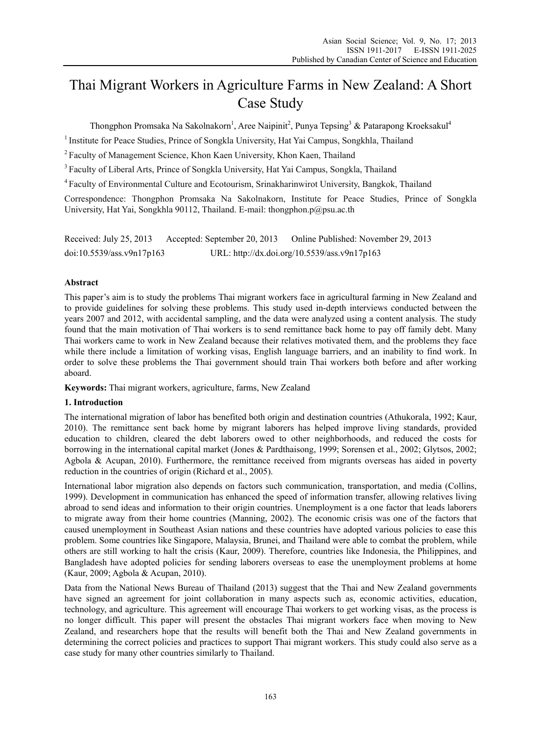# Thai Migrant Workers in Agriculture Farms in New Zealand: A Short Case Study

Thongphon Promsaka Na Sakolnakorn<sup>1</sup>, Aree Naipinit<sup>2</sup>, Punya Tepsing<sup>3</sup> & Patarapong Kroeksakul<sup>4</sup>

<sup>1</sup> Institute for Peace Studies, Prince of Songkla University, Hat Yai Campus, Songkhla, Thailand

2 Faculty of Management Science, Khon Kaen University, Khon Kaen, Thailand

<sup>3</sup> Faculty of Liberal Arts, Prince of Songkla University, Hat Yai Campus, Songkla, Thailand

4 Faculty of Environmental Culture and Ecotourism, Srinakharinwirot University, Bangkok, Thailand

Correspondence: Thongphon Promsaka Na Sakolnakorn, Institute for Peace Studies, Prince of Songkla University, Hat Yai, Songkhla 90112, Thailand. E-mail: thongphon.p@psu.ac.th

Received: July 25, 2013 Accepted: September 20, 2013 Online Published: November 29, 2013 doi:10.5539/ass.v9n17p163 URL: http://dx.doi.org/10.5539/ass.v9n17p163

# **Abstract**

This paper's aim is to study the problems Thai migrant workers face in agricultural farming in New Zealand and to provide guidelines for solving these problems. This study used in-depth interviews conducted between the years 2007 and 2012, with accidental sampling, and the data were analyzed using a content analysis. The study found that the main motivation of Thai workers is to send remittance back home to pay off family debt. Many Thai workers came to work in New Zealand because their relatives motivated them, and the problems they face while there include a limitation of working visas, English language barriers, and an inability to find work. In order to solve these problems the Thai government should train Thai workers both before and after working aboard.

**Keywords:** Thai migrant workers, agriculture, farms, New Zealand

#### **1. Introduction**

The international migration of labor has benefited both origin and destination countries (Athukorala, 1992; Kaur, 2010). The remittance sent back home by migrant laborers has helped improve living standards, provided education to children, cleared the debt laborers owed to other neighborhoods, and reduced the costs for borrowing in the international capital market (Jones & Pardthaisong, 1999; Sorensen et al., 2002; Glytsos, 2002; Agbola & Acupan, 2010). Furthermore, the remittance received from migrants overseas has aided in poverty reduction in the countries of origin (Richard et al., 2005).

International labor migration also depends on factors such communication, transportation, and media (Collins, 1999). Development in communication has enhanced the speed of information transfer, allowing relatives living abroad to send ideas and information to their origin countries. Unemployment is a one factor that leads laborers to migrate away from their home countries (Manning, 2002). The economic crisis was one of the factors that caused unemployment in Southeast Asian nations and these countries have adopted various policies to ease this problem. Some countries like Singapore, Malaysia, Brunei, and Thailand were able to combat the problem, while others are still working to halt the crisis (Kaur, 2009). Therefore, countries like Indonesia, the Philippines, and Bangladesh have adopted policies for sending laborers overseas to ease the unemployment problems at home (Kaur, 2009; Agbola & Acupan, 2010).

Data from the National News Bureau of Thailand (2013) suggest that the Thai and New Zealand governments have signed an agreement for joint collaboration in many aspects such as, economic activities, education, technology, and agriculture. This agreement will encourage Thai workers to get working visas, as the process is no longer difficult. This paper will present the obstacles Thai migrant workers face when moving to New Zealand, and researchers hope that the results will benefit both the Thai and New Zealand governments in determining the correct policies and practices to support Thai migrant workers. This study could also serve as a case study for many other countries similarly to Thailand.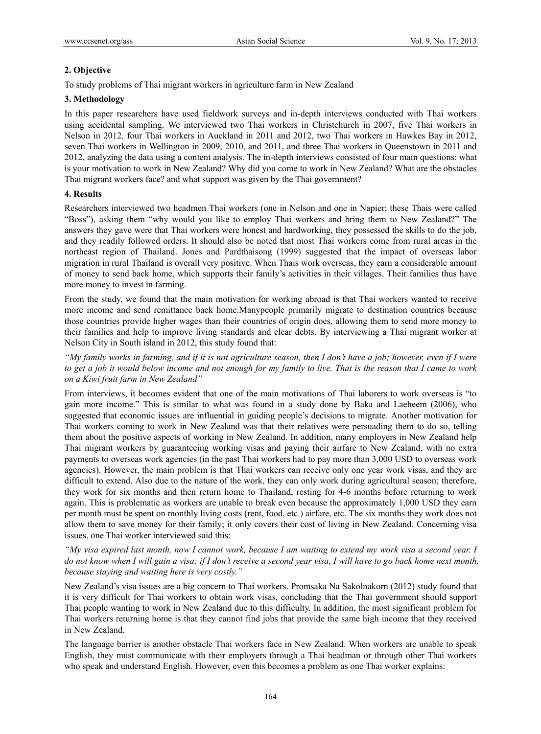# **2. Objective**

To study problems of Thai migrant workers in agriculture farm in New Zealand

# **3. Methodology**

In this paper researchers have used fieldwork surveys and in-depth interviews conducted with Thai workers using accidental sampling. We interviewed two Thai workers in Christchurch in 2007, five Thai workers in Nelson in 2012, four Thai workers in Auckland in 2011 and 2012, two Thai workers in Hawkes Bay in 2012, seven Thai workers in Wellington in 2009, 2010, and 2011, and three Thai workers in Queenstown in 2011 and 2012, analyzing the data using a content analysis. The in-depth interviews consisted of four main questions: what is your motivation to work in New Zealand? Why did you come to work in New Zealand? What are the obstacles Thai migrant workers face? and what support was given by the Thai government?

## **4. Results**

Researchers interviewed two headmen Thai workers (one in Nelson and one in Napier; these Thais were called "Boss"), asking them "why would you like to employ Thai workers and bring them to New Zealand?" The answers they gave were that Thai workers were honest and hardworking, they possessed the skills to do the job, and they readily followed orders. It should also be noted that most Thai workers come from rural areas in the northeast region of Thailand. Jones and Pardthaisong (1999) suggested that the impact of overseas labor migration in rural Thailand is overall very positive. When Thais work overseas, they earn a considerable amount of money to send back home, which supports their family's activities in their villages. Their families thus have more money to invest in farming.

From the study, we found that the main motivation for working abroad is that Thai workers wanted to receive more income and send remittance back home.Manypeople primarily migrate to destination countries because those countries provide higher wages than their countries of origin does, allowing them to send more money to their families and help to improve living standards and clear debts. By interviewing a Thai migrant worker at Nelson City in South island in 2012, this study found that:

*"My family works in farming, and if it is not agriculture season, then I don't have a job; however, even if I were to get a job it would below income and not enough for my family to live. That is the reason that I came to work on a Kiwi fruit farm in New Zealand"* 

From interviews, it becomes evident that one of the main motivations of Thai laborers to work overseas is "to gain more income." This is similar to what was found in a study done by Baka and Laeheem (2006), who suggested that economic issues are influential in guiding people's decisions to migrate. Another motivation for Thai workers coming to work in New Zealand was that their relatives were persuading them to do so, telling them about the positive aspects of working in New Zealand. In addition, many employers in New Zealand help Thai migrant workers by guaranteeing working visas and paying their airfare to New Zealand, with no extra payments to overseas work agencies (in the past Thai workers had to pay more than 3,000 USD to overseas work agencies). However, the main problem is that Thai workers can receive only one year work visas, and they are difficult to extend. Also due to the nature of the work, they can only work during agricultural season; therefore, they work for six months and then return home to Thailand, resting for 4-6 months before returning to work again. This is problematic as workers are unable to break even because the approximately 1,000 USD they earn per month must be spent on monthly living costs (rent, food, etc.) airfare, etc. The six months they work does not allow them to save money for their family; it only covers their cost of living in New Zealand. Concerning visa issues, one Thai worker interviewed said this:

*"My visa expired last month, now I cannot work, because I am waiting to extend my work visa a second year. I do not know when I will gain a visa; if I don't receive a second year visa, I will have to go back home next month, because staying and waiting here is very costly."* 

New Zealand's visa issues are a big concern to Thai workers. Promsaka Na Sakolnakorn (2012) study found that it is very difficult for Thai workers to obtain work visas, concluding that the Thai government should support Thai people wanting to work in New Zealand due to this difficulty. In addition, the most significant problem for Thai workers returning home is that they cannot find jobs that provide the same high income that they received in New Zealand.

The language barrier is another obstacle Thai workers face in New Zealand. When workers are unable to speak English, they must communicate with their employers through a Thai headman or through other Thai workers who speak and understand English. However, even this becomes a problem as one Thai worker explains: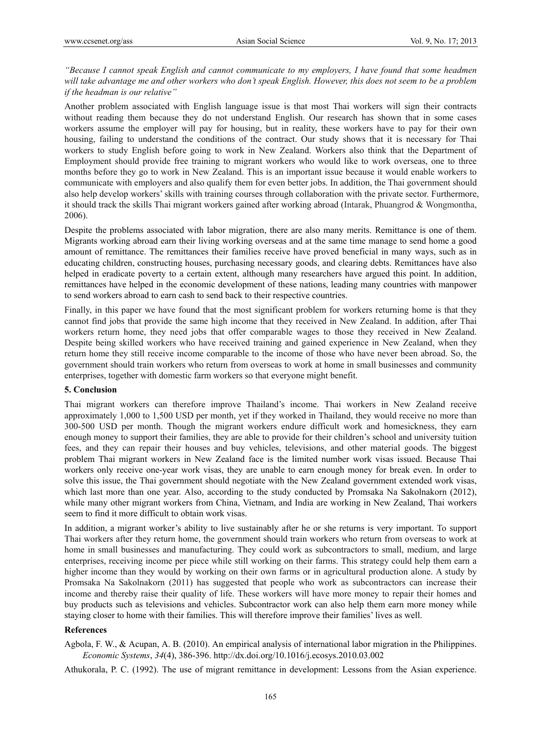*"Because I cannot speak English and cannot communicate to my employers, I have found that some headmen will take advantage me and other workers who don't speak English. However, this does not seem to be a problem if the headman is our relative"* 

Another problem associated with English language issue is that most Thai workers will sign their contracts without reading them because they do not understand English. Our research has shown that in some cases workers assume the employer will pay for housing, but in reality, these workers have to pay for their own housing, failing to understand the conditions of the contract. Our study shows that it is necessary for Thai workers to study English before going to work in New Zealand. Workers also think that the Department of Employment should provide free training to migrant workers who would like to work overseas, one to three months before they go to work in New Zealand. This is an important issue because it would enable workers to communicate with employers and also qualify them for even better jobs. In addition, the Thai government should also help develop workers' skills with training courses through collaboration with the private sector. Furthermore, it should track the skills Thai migrant workers gained after working abroad (Intarak, Phuangrod & Wongmontha, 2006).

Despite the problems associated with labor migration, there are also many merits. Remittance is one of them. Migrants working abroad earn their living working overseas and at the same time manage to send home a good amount of remittance. The remittances their families receive have proved beneficial in many ways, such as in educating children, constructing houses, purchasing necessary goods, and clearing debts. Remittances have also helped in eradicate poverty to a certain extent, although many researchers have argued this point. In addition, remittances have helped in the economic development of these nations, leading many countries with manpower to send workers abroad to earn cash to send back to their respective countries.

Finally, in this paper we have found that the most significant problem for workers returning home is that they cannot find jobs that provide the same high income that they received in New Zealand. In addition, after Thai workers return home, they need jobs that offer comparable wages to those they received in New Zealand. Despite being skilled workers who have received training and gained experience in New Zealand, when they return home they still receive income comparable to the income of those who have never been abroad. So, the government should train workers who return from overseas to work at home in small businesses and community enterprises, together with domestic farm workers so that everyone might benefit.

#### **5. Conclusion**

Thai migrant workers can therefore improve Thailand's income. Thai workers in New Zealand receive approximately 1,000 to 1,500 USD per month, yet if they worked in Thailand, they would receive no more than 300-500 USD per month. Though the migrant workers endure difficult work and homesickness, they earn enough money to support their families, they are able to provide for their children's school and university tuition fees, and they can repair their houses and buy vehicles, televisions, and other material goods. The biggest problem Thai migrant workers in New Zealand face is the limited number work visas issued. Because Thai workers only receive one-year work visas, they are unable to earn enough money for break even. In order to solve this issue, the Thai government should negotiate with the New Zealand government extended work visas, which last more than one year. Also, according to the study conducted by Promsaka Na Sakolnakorn (2012), while many other migrant workers from China, Vietnam, and India are working in New Zealand, Thai workers seem to find it more difficult to obtain work visas.

In addition, a migrant worker's ability to live sustainably after he or she returns is very important. To support Thai workers after they return home, the government should train workers who return from overseas to work at home in small businesses and manufacturing. They could work as subcontractors to small, medium, and large enterprises, receiving income per piece while still working on their farms. This strategy could help them earn a higher income than they would by working on their own farms or in agricultural production alone. A study by Promsaka Na Sakolnakorn (2011) has suggested that people who work as subcontractors can increase their income and thereby raise their quality of life. These workers will have more money to repair their homes and buy products such as televisions and vehicles. Subcontractor work can also help them earn more money while staying closer to home with their families. This will therefore improve their families' lives as well.

## **References**

Agbola, F. W., & Acupan, A. B. (2010). An empirical analysis of international labor migration in the Philippines. *Economic Systems*, *34*(4), 386-396. http://dx.doi.org/10.1016/j.ecosys.2010.03.002

Athukorala, P. C. (1992). The use of migrant remittance in development: Lessons from the Asian experience.